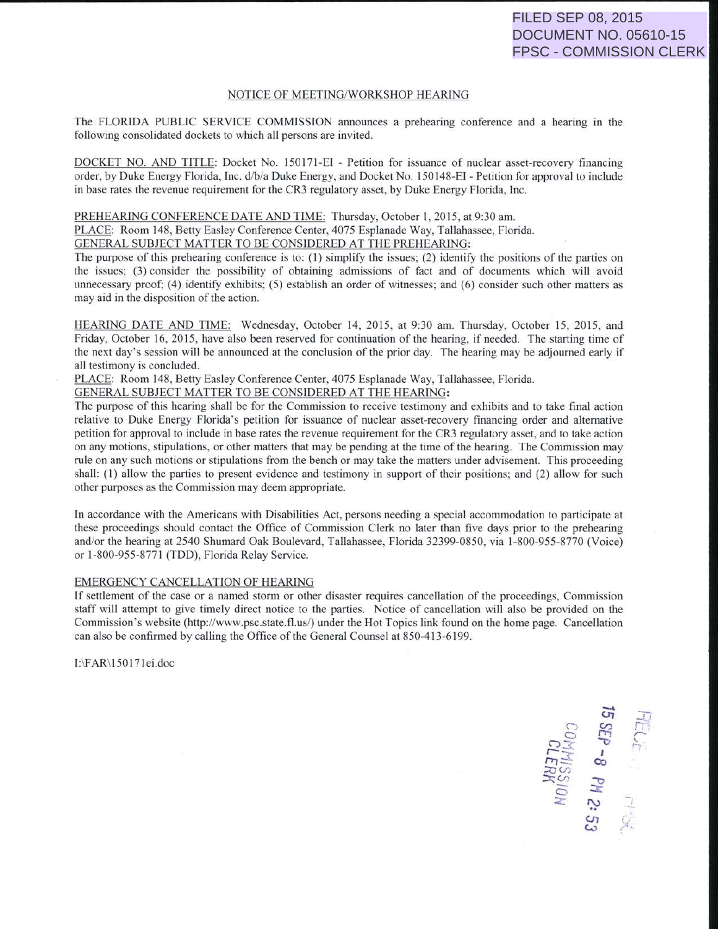## NOTICE OF MEETING/WORKSHOP HEARING

The FLORIDA PUBLIC SERVICE COMMISSION announces a prehearing conference and a hearing in the following consolidated dockets to which all persons are invited.

DOCKET NO. AND TITLE: Docket No. 150171-EI - Petition for issuance of nuclear asset-recovery financing order, by Duke Energy Florida, Jnc. d/b/a Duke Energy, and Docket No. 150 148-EI - Petition for approval to include in base rates the revenue requirement for the CR3 regulatory asset, by Duke Energy Florida, Inc.

PREHEARING CONFERENCE DATE AND TIME: Thursday, October I, 2015, at 9:30am. PLACE: Room 148, Betty Easley Conference Center, 4075 Esplanade Way, Tallahassee, Florida. GENERAL SUBJECT MATTER TO BE CONSIDERED AT THE PREHEARING:

The purpose of this prehearing conference is to: ( 1) simplify the issues; (2) identify the positions of the parties on the issues: (3) consider the possibility of obtaining admissions of fact and of documents which will avoid unnecessary proof; (4) identify exhibits; (5) establish an order of witnesses; and (6) consider such other matters as may aid in the disposition of the action.

HEARING DATE AND TIME: Wednesday, October 14, 2015, at 9:30 am. Thursday, October 15, 2015, and Friday. October 16, 2015, have also been reserved for continuation of the hearing, if needed. The starting time of the next day's session will be announced at the conclusion of the prior day. The hearing may be adjourned early if all testimony is concluded.

PLACE: Room 148, Betty Easley Conference Center. 4075 Esplanade Way. Tallahassee, Florida.

GENERAL SUBJECT MATTER TO BE CONSIDERED AT THE HEARING:

The purpose of this hearing shall be for the Commission to receive testimony and exhibits and to take final action relative to Duke Energy Florida's petition for issuance of nuclear asset-recovery financing order and alternative petition for approval to include in base rates the revenue requirement for the CR3 regulatory asset, and to take action on any motions. stipulations, or other matters that may be pending at the time of the hearing. The Commission may rule on any such motions or stipulations from the bench or may take the matters under advisement. This proceeding shall:  $(1)$  allow the parties to present evidence and testimony in support of their positions; and  $(2)$  allow for such other purpose as the Commission may deem appropriate.

In accordance with the Americans with Disabilities Act, persons needing a special accommodation to participate at these proceedings should contact the Office of Commission Clerk no later than five days prior to the prehearing and/or the hearing at 2540 Shumard Oak Boulevard, Tallahassee, Florida 32399-0850, via 1-800-955-8770 (Voice) or 1-800-955-8771 (TDD), Florida Relay Service.

## EMERGENCY CANCELLATION OF HEARING

If settlement of the case or a named storm or other disaster requires cancellation of the proceedings, Commission staff will attempt to give timely direct notice to the parties. Notice of cancellation will also be provided on the Commission's website (http://www.psc.state.fl.us/) under the Hot Topics link found on the home page. Cancellation can also be confirmed by calling the Office of the General Counsel at 850-413-6199.

1:\F AR\ 150 171 ei.doc

ল<br>ল **12**<br>COMIN<br>COMIN  $\mathbb{R}^{\mathbb{Z}}_{\infty}$  is  $\mathbb{R}^{\mathbb{Z}}$ (./' - <sup>~</sup> :z: a - *":-:>*  FEC  $\mathbb{S}^n$